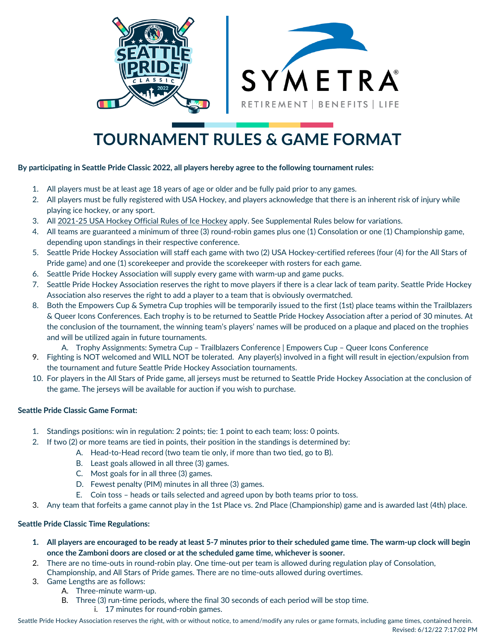

# **TOURNAMENT RULES & GAME FORMAT**

#### **By participating in Seattle Pride Classic 2022, all players hereby agree to the following tournament rules:**

- 1. All players must be at least age 18 years of age or older and be fully paid prior to any games.
- 2. All players must be fully registered with USA Hockey, and players acknowledge that there is an inherent risk of injury while playing ice hockey, or any sport.
- 3. All 2021-25 USA Hockey Official Rules of Ice Hockey apply. See Supplemental Rules below for variations.
- 4. All teams are guaranteed a minimum of three (3) round-robin games plus one (1) Consolation or one (1) Championship game, depending upon standings in their respective conference.
- 5. Seattle Pride Hockey Association will staff each game with two (2) USA Hockey-certified referees (four (4) for the All Stars of Pride game) and one (1) scorekeeper and provide the scorekeeper with rosters for each game.
- 6. Seattle Pride Hockey Association will supply every game with warm-up and game pucks.
- 7. Seattle Pride Hockey Association reserves the right to move players if there is a clear lack of team parity. Seattle Pride Hockey Association also reserves the right to add a player to a team that is obviously overmatched.
- 8. Both the Empowers Cup & Symetra Cup trophies will be temporarily issued to the first (1st) place teams within the Trailblazers & Queer Icons Conferences. Each trophy is to be returned to Seattle Pride Hockey Association after a period of 30 minutes. At the conclusion of the tournament, the winning team's players' names will be produced on a plaque and placed on the trophies and will be utilized again in future tournaments.
	- A. Trophy Assignments: Symetra Cup Trailblazers Conference | Empowers Cup Queer Icons Conference
- 9. Fighting is NOT welcomed and WILL NOT be tolerated. Any player(s) involved in a fight will result in ejection/expulsion from the tournament and future Seattle Pride Hockey Association tournaments.
- 10. For players in the All Stars of Pride game, all jerseys must be returned to Seattle Pride Hockey Association at the conclusion of the game. The jerseys will be available for auction if you wish to purchase.

## **Seattle Pride Classic Game Format:**

- 1. Standings positions: win in regulation: 2 points; tie: 1 point to each team; loss: 0 points.
- 2. If two (2) or more teams are tied in points, their position in the standings is determined by:
	- A. Head-to-Head record (two team tie only, if more than two tied, go to B).
		- B. Least goals allowed in all three (3) games.
		- C. Most goals for in all three (3) games.
		- D. Fewest penalty (PIM) minutes in all three (3) games.
		- E. Coin toss heads or tails selected and agreed upon by both teams prior to toss.
- 3. Any team that forfeits a game cannot play in the 1st Place vs. 2nd Place (Championship) game and is awarded last (4th) place.

#### **Seattle Pride Classic Time Regulations:**

- **1. All players are encouraged to be ready at least 5-7 minutes prior to their scheduled game time. The warm-up clock will begin once the Zamboni doors are closed or at the scheduled game time, whichever is sooner.**
- 2. There are no time-outs in round-robin play. One time-out per team is allowed during regulation play of Consolation,
	- Championship, and All Stars of Pride games. There are no time-outs allowed during overtimes.
- 3. Game Lengths are as follows:
	- A. Three-minute warm-up.
	- B. Three (3) run-time periods, where the final 30 seconds of each period will be stop time.
		- i. 17 minutes for round-robin games.

Seattle Pride Hockey Association reserves the right, with or without notice, to amend/modify any rules or game formats, including game times, contained herein.